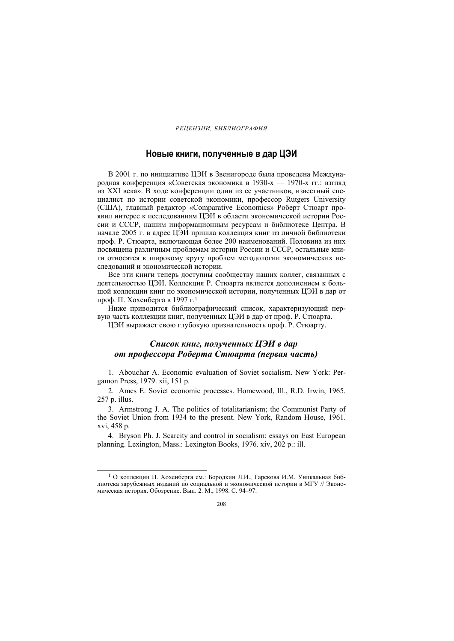## **Новые книги, полученные в дар ЦЭИ**

В 2001 г. по инициативе ЦЭИ в Звенигороде была проведена Международная конференция «Советская экономика в 1930-х — 1970-х гг.: взгляд из XXI века». В ходе конференции один из ее участников, известный специалист по истории советской экономики, профессор Rutgers University (США), главный редактор «Comparative Economics» Роберт Стюарт проявил интерес к исследованиям ЦЭИ в области экономической истории России и СССР, нашим информационным ресурсам и библиотеке Центра. В начале 2005 г. в адрес ЦЭИ пришла коллекция книг из личной библиотеки проф. Р. Стюарта, включающая более 200 наименований. Половина из них посвящена различным проблемам истории России и СССР, остальные книги относятся к широкому кругу проблем методологии экономических исследований и экономической истории.

Все эти книги теперь доступны сообществу наших коллег, связанных с деятельностью ЦЭИ. Коллекция Р. Стюарта является дополнением к большой коллекции книг по экономической истории, полученных ЦЭИ в дар от проф. П. Хохенберга в 1997 г.1

Ниже приводится библиографический список, характеризующий первую часть коллекции книг, полученных ЦЭИ в дар от проф. Р. Стюарта.

ЦЭИ выражает свою глубокую признательность проф. Р. Стюарту.

# *Список книг, полученных ЦЭИ в дар от профессора Роберта Стюарта (первая часть)*

1. Abouchar A. Economic evaluation of Soviet socialism. New York: Pergamon Press, 1979. xii, 151 p.

2. Ames E. Soviet economic processes. Homewood, Ill., R.D. Irwin, 1965. 257 p. illus.

3. Armstrong J. A. The politics of totalitarianism; the Communist Party of the Soviet Union from 1934 to the present. New York, Random House, 1961. xvi, 458 p.

4. Bryson Ph. J. Scarcity and control in socialism: essays on East European planning. Lexington, Mass.: Lexington Books, 1976. xiv, 202 p.: ill.

<sup>&</sup>lt;sup>1</sup> О коллекции П. Хохенберга см.: Боролкин Л.И., Гарскова И.М. Уникальная библиотека зарубежных изданий по социальной и экономической истории в МГУ // Экономическая история. Обозрение. Вып. 2. М., 1998. С. 94–97.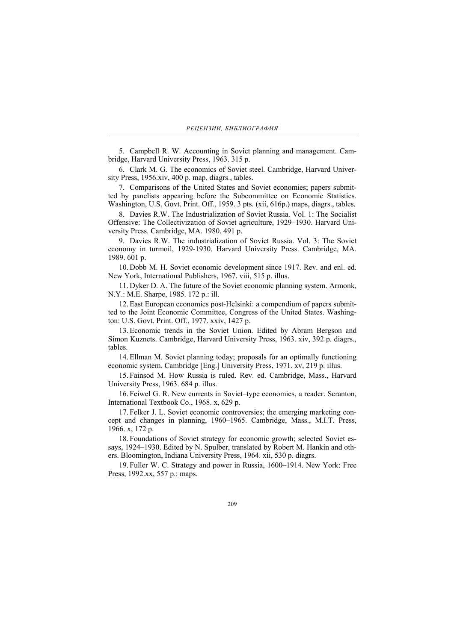5. Campbell R. W. Accounting in Soviet planning and management. Cambridge, Harvard University Press, 1963. 315 p.

6. Clark M. G. The economics of Soviet steel. Cambridge, Harvard University Press, 1956.xiv, 400 p. map, diagrs., tables.

7. Comparisons of the United States and Soviet economies; papers submitted by panelists appearing before the Subcommittee on Economic Statistics. Washington, U.S. Govt. Print. Off., 1959. 3 pts. (xii, 616p.) maps, diagrs., tables.

8. Davies R.W. The Industrialization of Soviet Russia. Vol. 1: The Socialist Offensive: The Collectivization of Soviet agriculture, 1929–1930. Harvard University Press. Cambridge, MA. 1980. 491 p.

9. Davies R.W. The industrialization of Soviet Russia. Vol. 3: The Soviet economy in turmoil, 1929-1930. Harvard University Press. Cambridge, MA. 1989. 601 p.

10. Dobb M. H. Soviet economic development since 1917. Rev. and enl. ed. New York, International Publishers, 1967. viii, 515 p. illus.

11. Dyker D. A. The future of the Soviet economic planning system. Armonk, N.Y.: M.E. Sharpe, 1985. 172 p.: ill.

12. East European economies post-Helsinki: a compendium of papers submitted to the Joint Economic Committee, Congress of the United States. Washington: U.S. Govt. Print. Off., 1977. xxiv, 1427 p.

13. Economic trends in the Soviet Union. Edited by Abram Bergson and Simon Kuznets. Cambridge, Harvard University Press, 1963. xiv, 392 p. diagrs., tables.

14. Ellman M. Soviet planning today; proposals for an optimally functioning economic system. Cambridge [Eng.] University Press, 1971. xv, 219 p. illus.

15. Fainsod M. How Russia is ruled. Rev. ed. Cambridge, Mass., Harvard University Press, 1963. 684 p. illus.

16. Feiwel G. R. New currents in Soviet–type economies, a reader. Scranton, International Textbook Co., 1968. x, 629 p.

17. Felker J. L. Soviet economic controversies; the emerging marketing concept and changes in planning, 1960–1965. Cambridge, Mass., M.I.T. Press, 1966. x, 172 p.

18. Foundations of Soviet strategy for economic growth; selected Soviet essays, 1924–1930. Edited by N. Spulber, translated by Robert M. Hankin and others. Bloomington, Indiana University Press, 1964. xii, 530 p. diagrs.

19. Fuller W. C. Strategy and power in Russia, 1600–1914. New York: Free Press, 1992.xx, 557 p.: maps.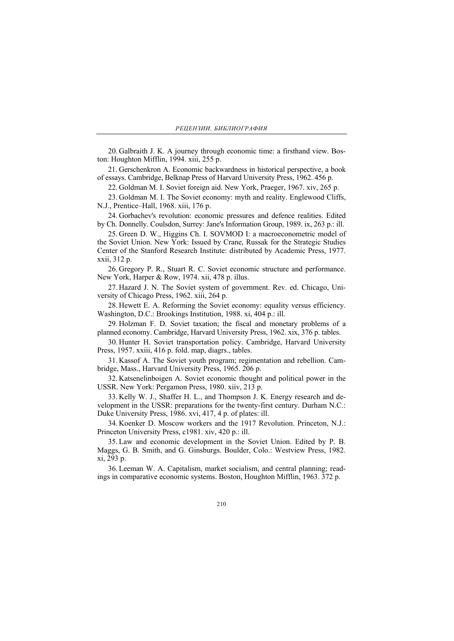20. Galbraith J. K. A journey through economic time: a firsthand view. Boston: Houghton Mifflin, 1994. xiii, 255 p.

21. Gerschenkron A. Economic backwardness in historical perspective, a book of essays. Cambridge, Belknap Press of Harvard University Press, 1962. 456 p.

22. Goldman M. I. Soviet foreign aid. New York, Praeger, 1967. xiv, 265 p.

23. Goldman M. I. The Soviet economy: myth and reality. Englewood Cliffs, N.J., Prentice–Hall, 1968. xiii, 176 p.

24. Gorbachev's revolution: economic pressures and defence realities. Edited by Ch. Donnelly. Coulsdon, Surrey: Jane's Information Group, 1989. ix, 263 p.: ill.

25. Green D. W., Higgins Ch. I. SOVMOD I: a macroeconometric model of the Soviet Union. New York: Issued by Crane, Russak for the Strategic Studies Center of the Stanford Research Institute: distributed by Academic Press, 1977. xxii, 312 p.

26. Gregory P. R., Stuart R. C. Soviet economic structure and performance. New York, Harper & Row, 1974. xii, 478 p. illus.

27. Hazard J. N. The Soviet system of government. Rev. ed. Chicago, University of Chicago Press, 1962. xiii, 264 p.

28. Hewett E. A. Reforming the Soviet economy: equality versus efficiency. Washington, D.C.: Brookings Institution, 1988. xi, 404 p.: ill.

29. Holzman F. D. Soviet taxation; the fiscal and monetary problems of a planned economy. Cambridge, Harvard University Press, 1962. xix, 376 p. tables.

30. Hunter H. Soviet transportation policy. Cambridge, Harvard University Press, 1957. xxiii, 416 p. fold. map, diagrs., tables.

31. Kassof A. The Soviet youth program; regimentation and rebellion. Cambridge, Mass., Harvard University Press, 1965. 206 p.

32. Katsenelinboigen A. Soviet economic thought and political power in the USSR. New York: Pergamon Press, 1980. xiiv, 213 p.

33. Kelly W. J., Shaffer H. L., and Thompson J. K. Energy research and development in the USSR: preparations for the twenty-first century. Durham N.C.: Duke University Press, 1986. xvi, 417, 4 p. of plates: ill.

34. Koenker D. Moscow workers and the 1917 Revolution. Princeton, N.J.: Princeton University Press, c1981. xiv, 420 p.: ill.

35. Law and economic development in the Soviet Union. Edited by P. B. Maggs, G. B. Smith, and G. Ginsburgs. Boulder, Colo.: Westview Press, 1982. xi, 293 p.

36. Leeman W. A. Capitalism, market socialism, and central planning; readings in comparative economic systems. Boston, Houghton Mifflin, 1963. 372 p.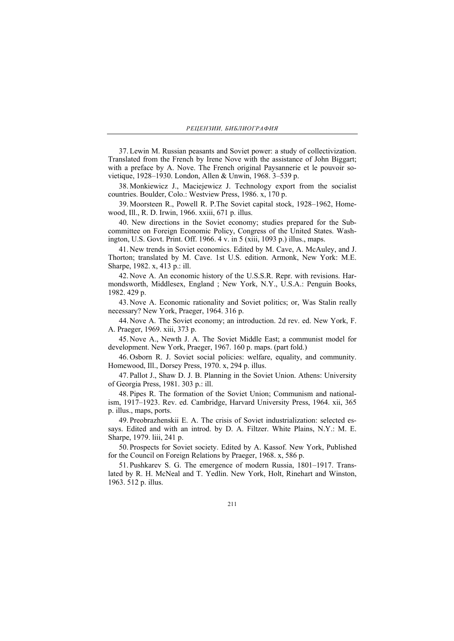37. Lewin M. Russian peasants and Soviet power: a study of collectivization. Translated from the French by Irene Nove with the assistance of John Biggart; with a preface by A. Nove. The French original Paysannerie et le pouvoir sovietique, 1928–1930. London, Allen & Unwin, 1968. 3–539 p.

38. Monkiewicz J., Maciejewicz J. Technology export from the socialist countries. Boulder, Colo.: Westview Press, 1986. x, 170 p.

39. Moorsteen R., Powell R. P.The Soviet capital stock, 1928–1962, Homewood, Ill., R. D. Irwin, 1966. xxiii, 671 p. illus.

40. New directions in the Soviet economy; studies prepared for the Subcommittee on Foreign Economic Policy, Congress of the United States. Washington, U.S. Govt. Print. Off. 1966. 4 v. in 5 (xiii, 1093 p.) illus., maps.

41. New trends in Soviet economics. Edited by M. Cave, A. McAuley, and J. Thorton; translated by M. Cave. 1st U.S. edition. Armonk, New York: M.E. Sharpe, 1982. x, 413 p.: ill.

42. Nove A. An economic history of the U.S.S.R. Repr. with revisions. Harmondsworth, Middlesex, England ; New York, N.Y., U.S.A.: Penguin Books, 1982. 429 p.

43. Nove A. Economic rationality and Soviet politics; or, Was Stalin really necessary? New York, Praeger, 1964. 316 p.

44. Nove A. The Soviet economy; an introduction. 2d rev. ed. New York, F. A. Praeger, 1969. xiii, 373 p.

45. Nove A., Newth J. A. The Soviet Middle East; a communist model for development. New York, Praeger, 1967. 160 p. maps. (part fold.)

46. Osborn R. J. Soviet social policies: welfare, equality, and community. Homewood, Ill., Dorsey Press, 1970. x, 294 p. illus.

47. Pallot J., Shaw D. J. B. Planning in the Soviet Union. Athens: University of Georgia Press, 1981. 303 p.: ill.

48. Pipes R. The formation of the Soviet Union; Communism and nationalism, 1917–1923. Rev. ed. Cambridge, Harvard University Press, 1964. xii, 365 p. illus., maps, ports.

49. Preobrazhenskii E. A. The crisis of Soviet industrialization: selected essays. Edited and with an introd. by D. A. Filtzer. White Plains, N.Y.: M. E. Sharpe, 1979. liii, 241 p.

50. Prospects for Soviet society. Edited by A. Kassof. New York, Published for the Council on Foreign Relations by Praeger, 1968. x, 586 p.

51. Pushkarev S. G. The emergence of modern Russia, 1801–1917. Translated by R. H. McNeal and T. Yedlin. New York, Holt, Rinehart and Winston, 1963. 512 p. illus.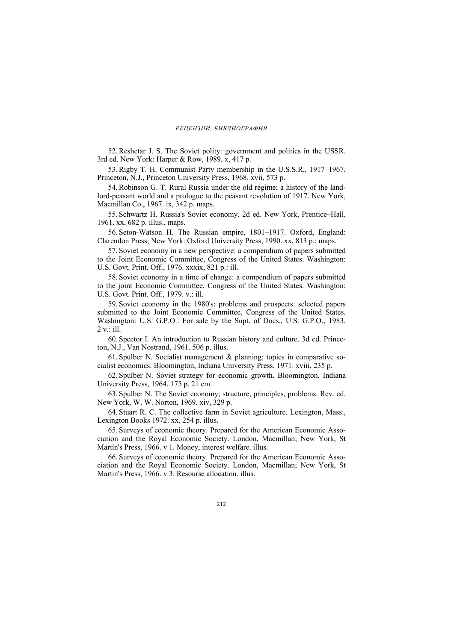52.Reshetar J. S. The Soviet polity: government and politics in the USSR. 3rd ed. New York: Harper & Row, 1989. x, 417 p.

53.Rigby T. H. Communist Party membership in the U.S.S.R., 1917–1967. Princeton, N.J., Princeton University Press, 1968. xvii, 573 p.

54.Robinson G. T. Rural Russia under the old régime; a history of the landlord-peasant world and a prologue to the peasant revolution of 1917. New York, Macmillan Co., 1967. ix, 342 p. maps.

55. Schwartz H. Russia's Soviet economy. 2d ed. New York, Prentice–Hall, 1961. xx, 682 p. illus., maps.

56. Seton-Watson H. The Russian empire, 1801–1917. Oxford, England: Clarendon Press; New York: Oxford University Press, 1990. xx, 813 p.: maps.

57. Soviet economy in a new perspective: a compendium of papers submitted to the Joint Economic Committee, Congress of the United States. Washington: U.S. Govt. Print. Off., 1976. xxxix, 821 p.: ill.

58. Soviet economy in a time of change: a compendium of papers submitted to the joint Economic Committee, Congress of the United States. Washington: U.S. Govt. Print. Off., 1979. v.: ill.

59. Soviet economy in the 1980's: problems and prospects: selected papers submitted to the Joint Economic Committee, Congress of the United States. Washington: U.S. G.P.O.: For sale by the Supt. of Docs., U.S. G.P.O., 1983. 2 v.: ill.

60. Spector I. An introduction to Russian history and culture. 3d ed. Princeton, N.J., Van Nostrand, 1961. 506 p. illus.

61. Spulber N. Socialist management & planning; topics in comparative socialist economics. Bloomington, Indiana University Press, 1971. xviii, 235 p.

62. Spulber N. Soviet strategy for economic growth. Bloomington, Indiana University Press, 1964. 175 p. 21 cm.

63. Spulber N. The Soviet economy; structure, principles, problems. Rev. ed. New York, W. W. Norton, 1969. xiv, 329 p.

64. Stuart R. C. The collective farm in Soviet agriculture. Lexington, Mass., Lexington Books 1972. xx, 254 p. illus.

65. Surveys of economic theory. Prepared for the American Economic Association and the Royal Economic Society. London, Macmillan; New York, St Martin's Press, 1966. v 1. Money, interest welfare. illus.

66. Surveys of economic theory. Prepared for the American Economic Association and the Royal Economic Society. London, Macmillan; New York, St Martin's Press, 1966. v 3. Resourse allocation. illus.